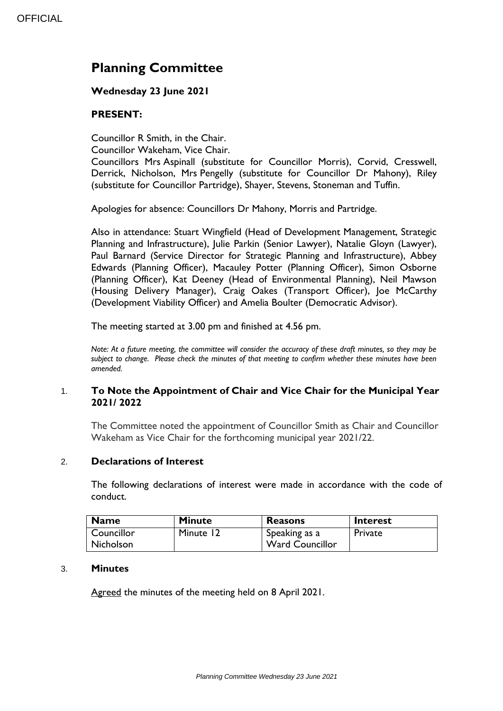## **Planning Committee**

#### **Wednesday 23 June 2021**

#### **PRESENT:**

Councillor R Smith, in the Chair.

Councillor Wakeham, Vice Chair.

Councillors Mrs Aspinall (substitute for Councillor Morris), Corvid, Cresswell, Derrick, Nicholson, Mrs Pengelly (substitute for Councillor Dr Mahony), Riley (substitute for Councillor Partridge), Shayer, Stevens, Stoneman and Tuffin.

Apologies for absence: Councillors Dr Mahony, Morris and Partridge.

Also in attendance: Stuart Wingfield (Head of Development Management, Strategic Planning and Infrastructure), Julie Parkin (Senior Lawyer), Natalie Gloyn (Lawyer), Paul Barnard (Service Director for Strategic Planning and Infrastructure), Abbey Edwards (Planning Officer), Macauley Potter (Planning Officer), Simon Osborne (Planning Officer), Kat Deeney (Head of Environmental Planning), Neil Mawson (Housing Delivery Manager), Craig Oakes (Transport Officer), Joe McCarthy (Development Viability Officer) and Amelia Boulter (Democratic Advisor).

The meeting started at 3.00 pm and finished at 4.56 pm.

*Note: At a future meeting, the committee will consider the accuracy of these draft minutes, so they may be subject to change. Please check the minutes of that meeting to confirm whether these minutes have been amended.*

#### 1. **To Note the Appointment of Chair and Vice Chair for the Municipal Year 2021/ 2022**

The Committee noted the appointment of Councillor Smith as Chair and Councillor Wakeham as Vice Chair for the forthcoming municipal year 2021/22.

#### 2. **Declarations of Interest**

The following declarations of interest were made in accordance with the code of conduct.

| <b>Name</b>      | <b>Minute</b> | <b>Reasons</b>         | <b>Interest</b> |
|------------------|---------------|------------------------|-----------------|
| Councillor       | Minute 12     | Speaking as a          | Private         |
| <b>Nicholson</b> |               | <b>Ward Councillor</b> |                 |

#### 3. **Minutes**

Agreed the minutes of the meeting held on 8 April 2021.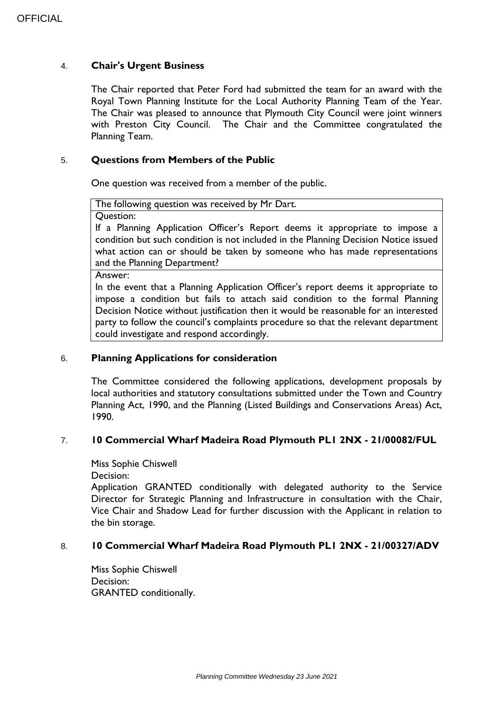#### 4. **Chair's Urgent Business**

The Chair reported that Peter Ford had submitted the team for an award with the Royal Town Planning Institute for the Local Authority Planning Team of the Year. The Chair was pleased to announce that Plymouth City Council were joint winners with Preston City Council. The Chair and the Committee congratulated the Planning Team.

#### 5. **Questions from Members of the Public**

One question was received from a member of the public.

The following question was received by Mr Dart.

#### Question:

If a Planning Application Officer's Report deems it appropriate to impose a condition but such condition is not included in the Planning Decision Notice issued what action can or should be taken by someone who has made representations and the Planning Department?

Answer:

In the event that a Planning Application Officer's report deems it appropriate to impose a condition but fails to attach said condition to the formal Planning Decision Notice without justification then it would be reasonable for an interested party to follow the council's complaints procedure so that the relevant department could investigate and respond accordingly.

#### 6. **Planning Applications for consideration**

The Committee considered the following applications, development proposals by local authorities and statutory consultations submitted under the Town and Country Planning Act, 1990, and the Planning (Listed Buildings and Conservations Areas) Act, 1990.

#### 7. **10 Commercial Wharf Madeira Road Plymouth PL1 2NX - 21/00082/FUL**

Miss Sophie Chiswell

Decision:

Application GRANTED conditionally with delegated authority to the Service Director for Strategic Planning and Infrastructure in consultation with the Chair, Vice Chair and Shadow Lead for further discussion with the Applicant in relation to the bin storage.

#### 8. **10 Commercial Wharf Madeira Road Plymouth PL1 2NX - 21/00327/ADV**

Miss Sophie Chiswell Decision: GRANTED conditionally.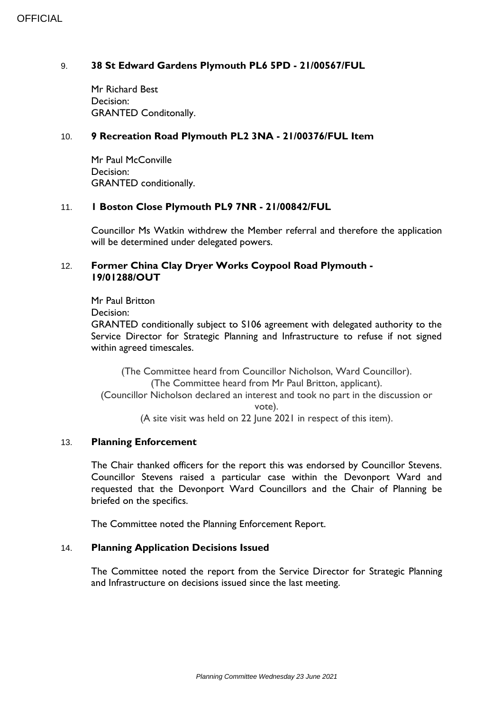#### 9. **38 St Edward Gardens Plymouth PL6 5PD - 21/00567/FUL**

Mr Richard Best Decision: GRANTED Conditonally.

#### 10. **9 Recreation Road Plymouth PL2 3NA - 21/00376/FUL Item**

Mr Paul McConville Decision: GRANTED conditionally.

#### 11. **1 Boston Close Plymouth PL9 7NR - 21/00842/FUL**

Councillor Ms Watkin withdrew the Member referral and therefore the application will be determined under delegated powers.

#### 12. **Former China Clay Dryer Works Coypool Road Plymouth - 19/01288/OUT**

Mr Paul Britton

Decision:

GRANTED conditionally subject to S106 agreement with delegated authority to the Service Director for Strategic Planning and Infrastructure to refuse if not signed within agreed timescales.

(The Committee heard from Councillor Nicholson, Ward Councillor). (The Committee heard from Mr Paul Britton, applicant).

(Councillor Nicholson declared an interest and took no part in the discussion or vote).

(A site visit was held on 22 June 2021 in respect of this item).

#### 13. **Planning Enforcement**

The Chair thanked officers for the report this was endorsed by Councillor Stevens. Councillor Stevens raised a particular case within the Devonport Ward and requested that the Devonport Ward Councillors and the Chair of Planning be briefed on the specifics.

The Committee noted the Planning Enforcement Report.

#### 14. **Planning Application Decisions Issued**

The Committee noted the report from the Service Director for Strategic Planning and Infrastructure on decisions issued since the last meeting.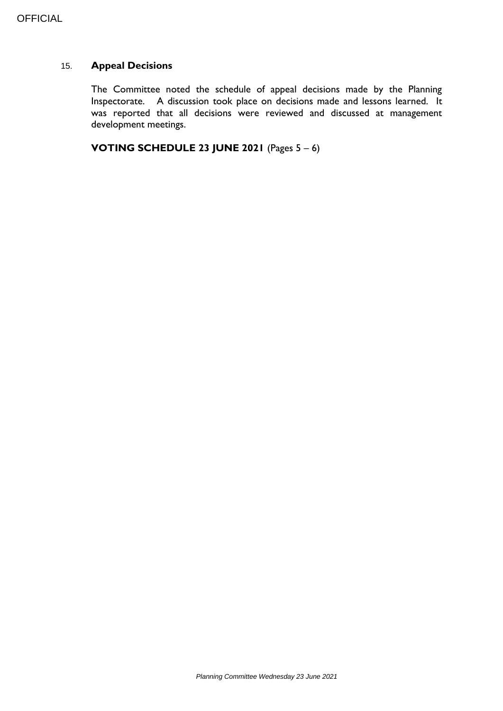#### 15. **Appeal Decisions**

The Committee noted the schedule of appeal decisions made by the Planning Inspectorate. A discussion took place on decisions made and lessons learned. It was reported that all decisions were reviewed and discussed at management development meetings.

**VOTING SCHEDULE 23 JUNE 2021** (Pages 5 – 6)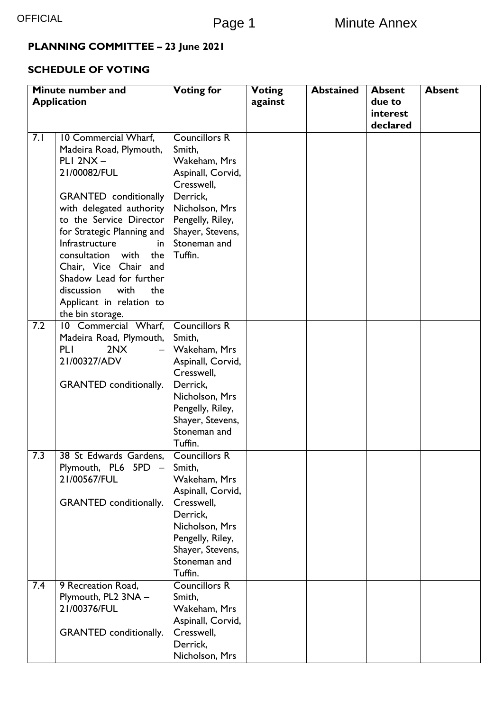## **PLANNING COMMITTEE – 23 June 2021**

### **SCHEDULE OF VOTING**

| Minute number and  |                               | <b>Voting for</b>                    | <b>Voting</b> | <b>Abstained</b> | <b>Absent</b> | <b>Absent</b> |
|--------------------|-------------------------------|--------------------------------------|---------------|------------------|---------------|---------------|
| <b>Application</b> |                               |                                      | against       |                  | due to        |               |
|                    |                               |                                      |               |                  | interest      |               |
|                    |                               |                                      |               |                  | declared      |               |
| 7.1                | 10 Commercial Wharf,          | <b>Councillors R</b>                 |               |                  |               |               |
|                    | Madeira Road, Plymouth,       | Smith,                               |               |                  |               |               |
|                    | $PLI$ 2NX $-$                 | Wakeham, Mrs                         |               |                  |               |               |
|                    | 21/00082/FUL                  | Aspinall, Corvid,                    |               |                  |               |               |
|                    |                               | Cresswell.                           |               |                  |               |               |
|                    | <b>GRANTED</b> conditionally  | Derrick,                             |               |                  |               |               |
|                    | with delegated authority      | Nicholson, Mrs                       |               |                  |               |               |
|                    | to the Service Director       | Pengelly, Riley,                     |               |                  |               |               |
|                    | for Strategic Planning and    | Shayer, Stevens,                     |               |                  |               |               |
|                    | Infrastructure<br>in          | Stoneman and                         |               |                  |               |               |
|                    | consultation with<br>the      | Tuffin.                              |               |                  |               |               |
|                    | Chair, Vice Chair and         |                                      |               |                  |               |               |
|                    | Shadow Lead for further       |                                      |               |                  |               |               |
|                    | discussion<br>with<br>the     |                                      |               |                  |               |               |
|                    | Applicant in relation to      |                                      |               |                  |               |               |
|                    | the bin storage.              |                                      |               |                  |               |               |
| 7.2                | 10 Commercial Wharf,          | <b>Councillors R</b>                 |               |                  |               |               |
|                    | Madeira Road, Plymouth,       | Smith,                               |               |                  |               |               |
|                    | <b>PLI</b><br>2N <sub>X</sub> | Wakeham, Mrs                         |               |                  |               |               |
|                    | 21/00327/ADV                  | Aspinall, Corvid,                    |               |                  |               |               |
|                    |                               | Cresswell,                           |               |                  |               |               |
|                    | <b>GRANTED</b> conditionally. | Derrick,                             |               |                  |               |               |
|                    |                               | Nicholson, Mrs                       |               |                  |               |               |
|                    |                               | Pengelly, Riley,<br>Shayer, Stevens, |               |                  |               |               |
|                    |                               | Stoneman and                         |               |                  |               |               |
|                    |                               | Tuffin.                              |               |                  |               |               |
| 7.3                | 38 St Edwards Gardens,        | <b>Councillors R</b>                 |               |                  |               |               |
|                    | Plymouth, PL6 5PD -           | Smith,                               |               |                  |               |               |
|                    | 21/00567/FUL                  | Wakeham, Mrs                         |               |                  |               |               |
|                    |                               | Aspinall, Corvid,                    |               |                  |               |               |
|                    | <b>GRANTED</b> conditionally. | Cresswell,                           |               |                  |               |               |
|                    |                               | Derrick,                             |               |                  |               |               |
|                    |                               | Nicholson, Mrs                       |               |                  |               |               |
|                    |                               | Pengelly, Riley,                     |               |                  |               |               |
|                    |                               | Shayer, Stevens,                     |               |                  |               |               |
|                    |                               | Stoneman and                         |               |                  |               |               |
|                    |                               | Tuffin.                              |               |                  |               |               |
| 7.4                | 9 Recreation Road,            | <b>Councillors R</b>                 |               |                  |               |               |
|                    | Plymouth, PL2 3NA -           | Smith,                               |               |                  |               |               |
|                    | 21/00376/FUL                  | Wakeham, Mrs                         |               |                  |               |               |
|                    |                               | Aspinall, Corvid,                    |               |                  |               |               |
|                    | <b>GRANTED</b> conditionally. | Cresswell,                           |               |                  |               |               |
|                    |                               | Derrick,                             |               |                  |               |               |
|                    |                               | Nicholson, Mrs                       |               |                  |               |               |